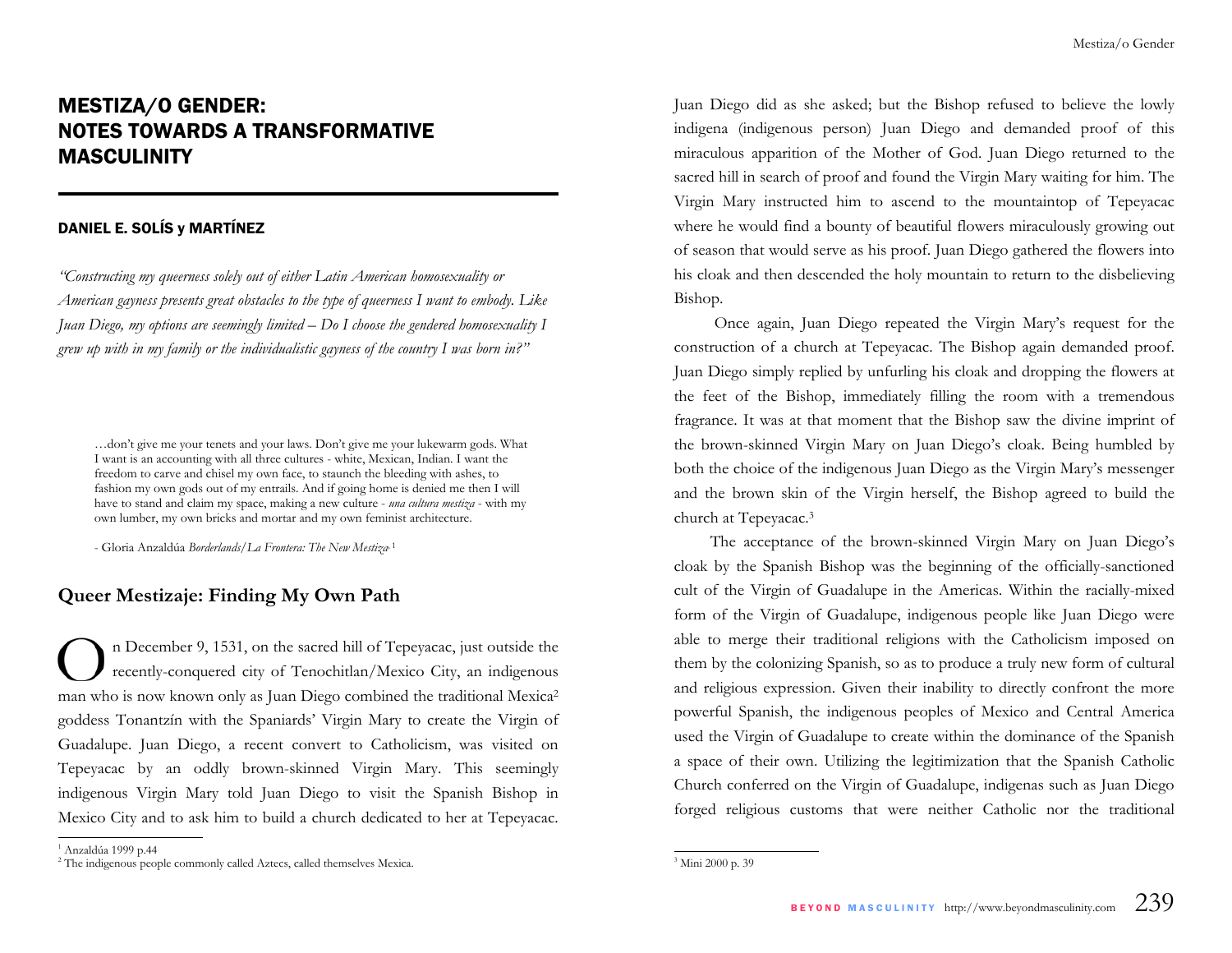# MESTIZA/O GENDER: NOTES TOWARDS A TRANSFORMATIVE MASCULINITY

#### DANIEL E. SOLÍS y MARTÍNEZ

*"Constructing my queerness solely out of either Latin American homosexuality or American gayness presents great obstacles to the type of queerness I want to embody. Like Juan Diego, my options are seemingly limited – Do I choose the gendered homosexuality I grew up with in my family or the individualistic gayness of the country I was born in?"* 

…don't give me your tenets and your laws. Don't give me your lukewarm gods. What I want is an accounting with all three cultures - white, Mexican, Indian. I want the freedom to carve and chisel my own face, to staunch the bleeding with ashes, to fashion my own gods out of my entrails. And if going home is denied me then I will have to stand and claim my space, making a new culture - *una cultura mestiza* - with my own lumber, my own bricks and mortar and my own feminist architecture.

- Gloria Anzaldúa *Borderlands/La Frontera: The New Mestiza*, <sup>1</sup>

## **Queer Mestizaje: Finding My Own Path**

n December 9, 1531, on the sacred hill of Tepeyacac, just outside the recently-conquered city of Tenochitlan/Mexico City, an indigenous man who is now known only as Juan Diego combined the traditional Mexica2 goddess Tonantzín with the Spaniards' Virgin Mary to create the Virgin of Guadalupe. Juan Diego, a recent convert to Catholicism, was visited on Tepeyacac by an oddly brown-skinned Virgin Mary. This seemingly indigenous Virgin Mary told Juan Diego to visit the Spanish Bishop in Mexico City and to ask him to build a church dedicated to her at Tepeyacac.

Juan Diego did as she asked; but the Bishop refused to believe the lowly indigena (indigenous person) Juan Diego and demanded proof of this miraculous apparition of the Mother of God. Juan Diego returned to the sacred hill in search of proof and found the Virgin Mary waiting for him. The Virgin Mary instructed him to ascend to the mountaintop of Tepeyacac where he would find a bounty of beautiful flowers miraculously growing out of season that would serve as his proof. Juan Diego gathered the flowers into his cloak and then descended the holy mountain to return to the disbelieving Bishop.

 Once again, Juan Diego repeated the Virgin Mary's request for the construction of a church at Tepeyacac. The Bishop again demanded proof. Juan Diego simply replied by unfurling his cloak and dropping the flowers at the feet of the Bishop, immediately filling the room with a tremendous fragrance. It was at that moment that the Bishop saw the divine imprint of the brown-skinned Virgin Mary on Juan Diego's cloak. Being humbled by both the choice of the indigenous Juan Diego as the Virgin Mary's messenger and the brown skin of the Virgin herself, the Bishop agreed to build the church at Tepeyacac.3

The acceptance of the brown-skinned Virgin Mary on Juan Diego's cloak by the Spanish Bishop was the beginning of the officially-sanctioned cult of the Virgin of Guadalupe in the Americas. Within the racially-mixed form of the Virgin of Guadalupe, indigenous people like Juan Diego were able to merge their traditional religions with the Catholicism imposed on them by the colonizing Spanish, so as to produce a truly new form of cultural and religious expression. Given their inability to directly confront the more powerful Spanish, the indigenous peoples of Mexico and Central America used the Virgin of Guadalupe to create within the dominance of the Spanish a space of their own. Utilizing the legitimization that the Spanish Catholic Church conferred on the Virgin of Guadalupe, indigenas such as Juan Diego forged religious customs that were neither Catholic nor the traditional

<sup>1</sup> Anzaldúa 1999 p.44

<sup>&</sup>lt;sup>2</sup> The indigenous people commonly called Aztecs, called themselves Mexica.

<sup>3</sup> Mini 2000 p. 39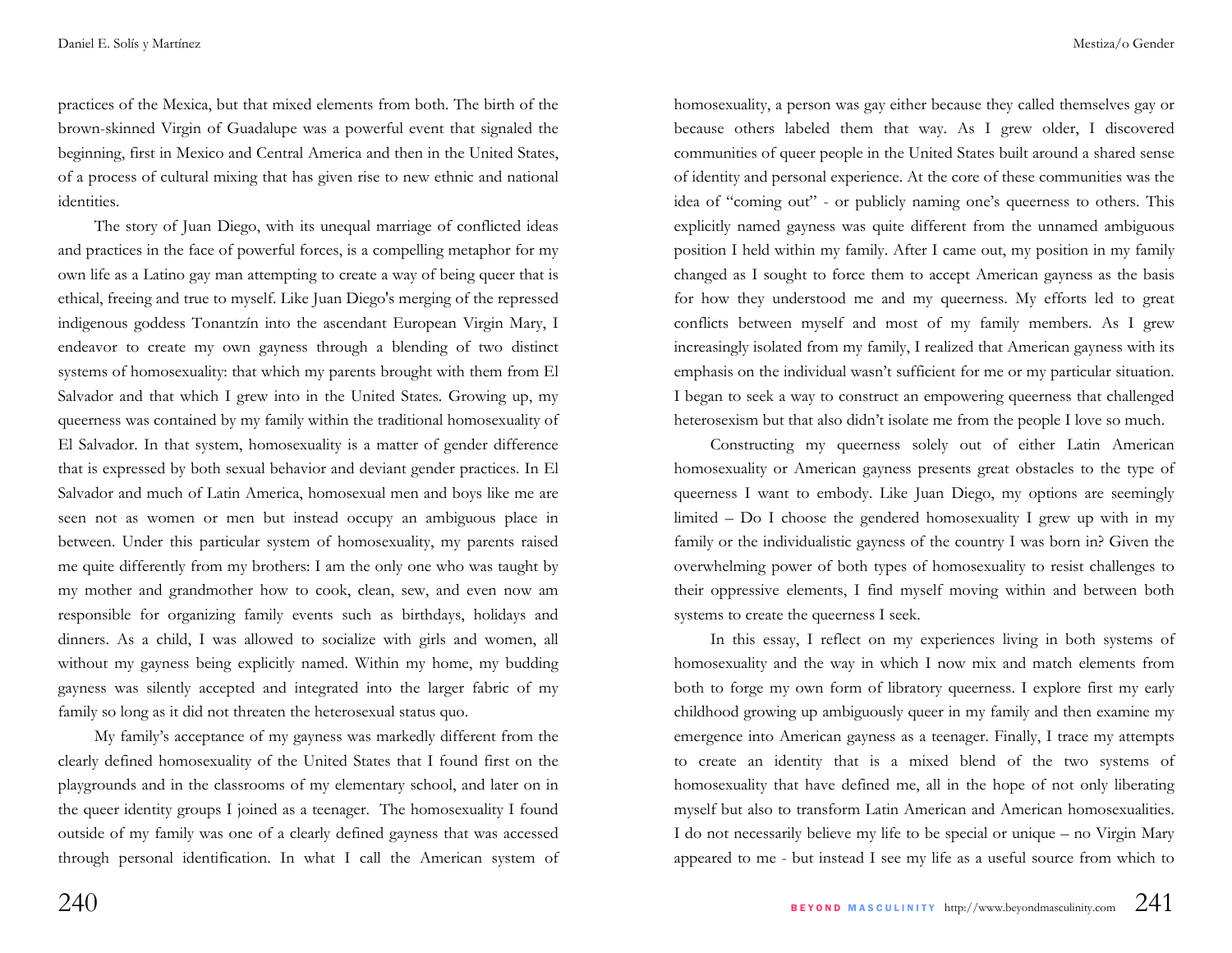practices of the Mexica, but that mixed elements from both. The birth of the brown-skinned Virgin of Guadalupe was a powerful event that signaled the beginning, first in Mexico and Central America and then in the United States, of a process of cultural mixing that has given rise to new ethnic and national identities.

The story of Juan Diego, with its unequal marriage of conflicted ideas and practices in the face of powerful forces, is a compelling metaphor for my own life as a Latino gay man attempting to create a way of being queer that is ethical, freeing and true to myself. Like Juan Diego's merging of the repressed indigenous goddess Tonantzín into the ascendant European Virgin Mary, I endeavor to create my own gayness through a blending of two distinct systems of homosexuality: that which my parents brought with them from El Salvador and that which I grew into in the United States. Growing up, my queerness was contained by my family within the traditional homosexuality of El Salvador. In that system, homosexuality is a matter of gender difference that is expressed by both sexual behavior and deviant gender practices. In El Salvador and much of Latin America, homosexual men and boys like me are seen not as women or men but instead occupy an ambiguous place in between. Under this particular system of homosexuality, my parents raised me quite differently from my brothers: I am the only one who was taught by my mother and grandmother how to cook, clean, sew, and even now am responsible for organizing family events such as birthdays, holidays and dinners. As a child, I was allowed to socialize with girls and women, all without my gayness being explicitly named. Within my home, my budding gayness was silently accepted and integrated into the larger fabric of my family so long as it did not threaten the heterosexual status quo.

My family's acceptance of my gayness was markedly different from the clearly defined homosexuality of the United States that I found first on the playgrounds and in the classrooms of my elementary school, and later on in the queer identity groups I joined as a teenager. The homosexuality I found outside of my family was one of a clearly defined gayness that was accessed through personal identification. In what I call the American system of homosexuality, a person was gay either because they called themselves gay or because others labeled them that way. As I grew older, I discovered communities of queer people in the United States built around a shared sense of identity and personal experience. At the core of these communities was the idea of "coming out" - or publicly naming one's queerness to others. This explicitly named gayness was quite different from the unnamed ambiguous position I held within my family. After I came out, my position in my family changed as I sought to force them to accept American gayness as the basis for how they understood me and my queerness. My efforts led to great conflicts between myself and most of my family members. As I grew increasingly isolated from my family, I realized that American gayness with its emphasis on the individual wasn't sufficient for me or my particular situation. I began to seek a way to construct an empowering queerness that challenged heterosexism but that also didn't isolate me from the people I love so much.

Constructing my queerness solely out of either Latin American homosexuality or American gayness presents great obstacles to the type of queerness I want to embody. Like Juan Diego, my options are seemingly limited – Do I choose the gendered homosexuality I grew up with in my family or the individualistic gayness of the country I was born in? Given the overwhelming power of both types of homosexuality to resist challenges to their oppressive elements, I find myself moving within and between both systems to create the queerness I seek.

In this essay, I reflect on my experiences living in both systems of homosexuality and the way in which I now mix and match elements from both to forge my own form of libratory queerness. I explore first my early childhood growing up ambiguously queer in my family and then examine my emergence into American gayness as a teenager. Finally, I trace my attempts to create an identity that is a mixed blend of the two systems of homosexuality that have defined me, all in the hope of not only liberating myself but also to transform Latin American and American homosexualities. I do not necessarily believe my life to be special or unique – no Virgin Mary appeared to me - but instead I see my life as a useful source from which to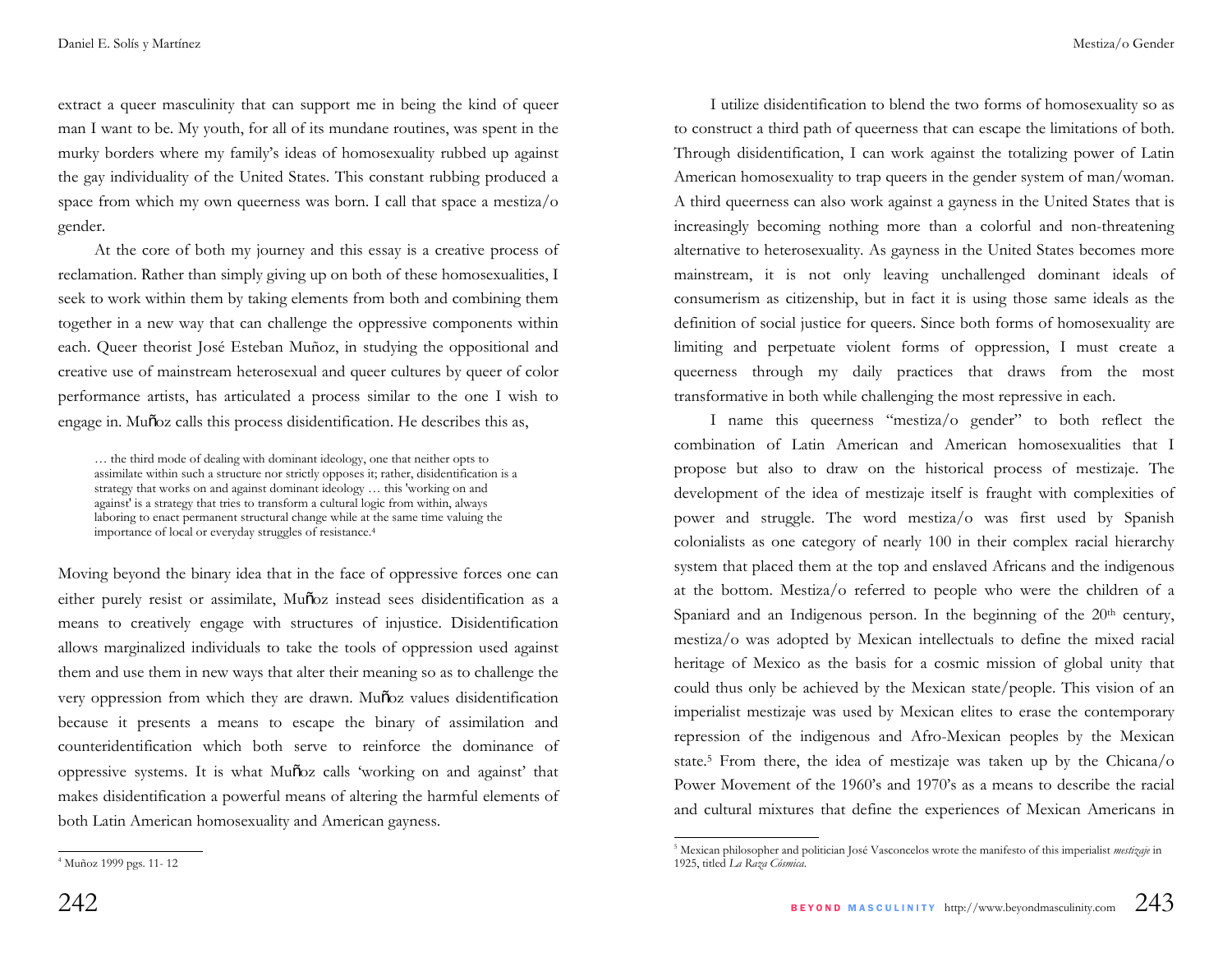Mestiza/o Gender

extract a queer masculinity that can support me in being the kind of queer man I want to be. My youth, for all of its mundane routines, was spent in the murky borders where my family's ideas of homosexuality rubbed up against the gay individuality of the United States. This constant rubbing produced a space from which my own queerness was born. I call that space a mestiza/o gender.

At the core of both my journey and this essay is a creative process of reclamation. Rather than simply giving up on both of these homosexualities, I seek to work within them by taking elements from both and combining them together in a new way that can challenge the oppressive components within each. Queer theorist José Esteban Muñoz, in studying the oppositional and creative use of mainstream heterosexual and queer cultures by queer of color performance artists, has articulated a process similar to the one I wish to engage in. Muñoz calls this process disidentification. He describes this as,

… the third mode of dealing with dominant ideology, one that neither opts to assimilate within such a structure nor strictly opposes it; rather, disidentification is a strategy that works on and against dominant ideology … this 'working on and against' is a strategy that tries to transform a cultural logic from within, always laboring to enact permanent structural change while at the same time valuing the importance of local or everyday struggles of resistance.4

Moving beyond the binary idea that in the face of oppressive forces one can either purely resist or assimilate, Muñoz instead sees disidentification as a means to creatively engage with structures of injustice. Disidentification allows marginalized individuals to take the tools of oppression used against them and use them in new ways that alter their meaning so as to challenge the very oppression from which they are drawn. Muñoz values disidentification because it presents a means to escape the binary of assimilation and counteridentification which both serve to reinforce the dominance of oppressive systems. It is what Muñoz calls 'working on and against' that makes disidentification a powerful means of altering the harmful elements of both Latin American homosexuality and American gayness.

 I name this queerness "mestiza/o gender" to both reflect the combination of Latin American and American homosexualities that I propose but also to draw on the historical process of mestizaje. The development of the idea of mestizaje itself is fraught with complexities of power and struggle. The word mestiza/o was first used by Spanish colonialists as one category of nearly 100 in their complex racial hierarchy system that placed them at the top and enslaved Africans and the indigenous at the bottom. Mestiza/o referred to people who were the children of a Spaniard and an Indigenous person. In the beginning of the  $20<sup>th</sup>$  century, mestiza/o was adopted by Mexican intellectuals to define the mixed racial heritage of Mexico as the basis for a cosmic mission of global unity that could thus only be achieved by the Mexican state/people. This vision of an imperialist mestizaje was used by Mexican elites to erase the contemporary repression of the indigenous and Afro-Mexican peoples by the Mexican state.5 From there, the idea of mestizaje was taken up by the Chicana/o Power Movement of the 1960's and 1970's as a means to describe the racial and cultural mixtures that define the experiences of Mexican Americans in

I utilize disidentification to blend the two forms of homosexuality so as to construct a third path of queerness that can escape the limitations of both. Through disidentification, I can work against the totalizing power of Latin American homosexuality to trap queers in the gender system of man/woman. A third queerness can also work against a gayness in the United States that is increasingly becoming nothing more than a colorful and non-threatening alternative to heterosexuality. As gayness in the United States becomes more mainstream, it is not only leaving unchallenged dominant ideals of consumerism as citizenship, but in fact it is using those same ideals as the definition of social justice for queers. Since both forms of homosexuality are limiting and perpetuate violent forms of oppression, I must create a queerness through my daily practices that draws from the most transformative in both while challenging the most repressive in each.

<sup>5</sup> Mexican philosopher and politician José Vasconcelos wrote the manifesto of this imperialist *mestizaje* in 1925, titled *La Raza Cósmica*.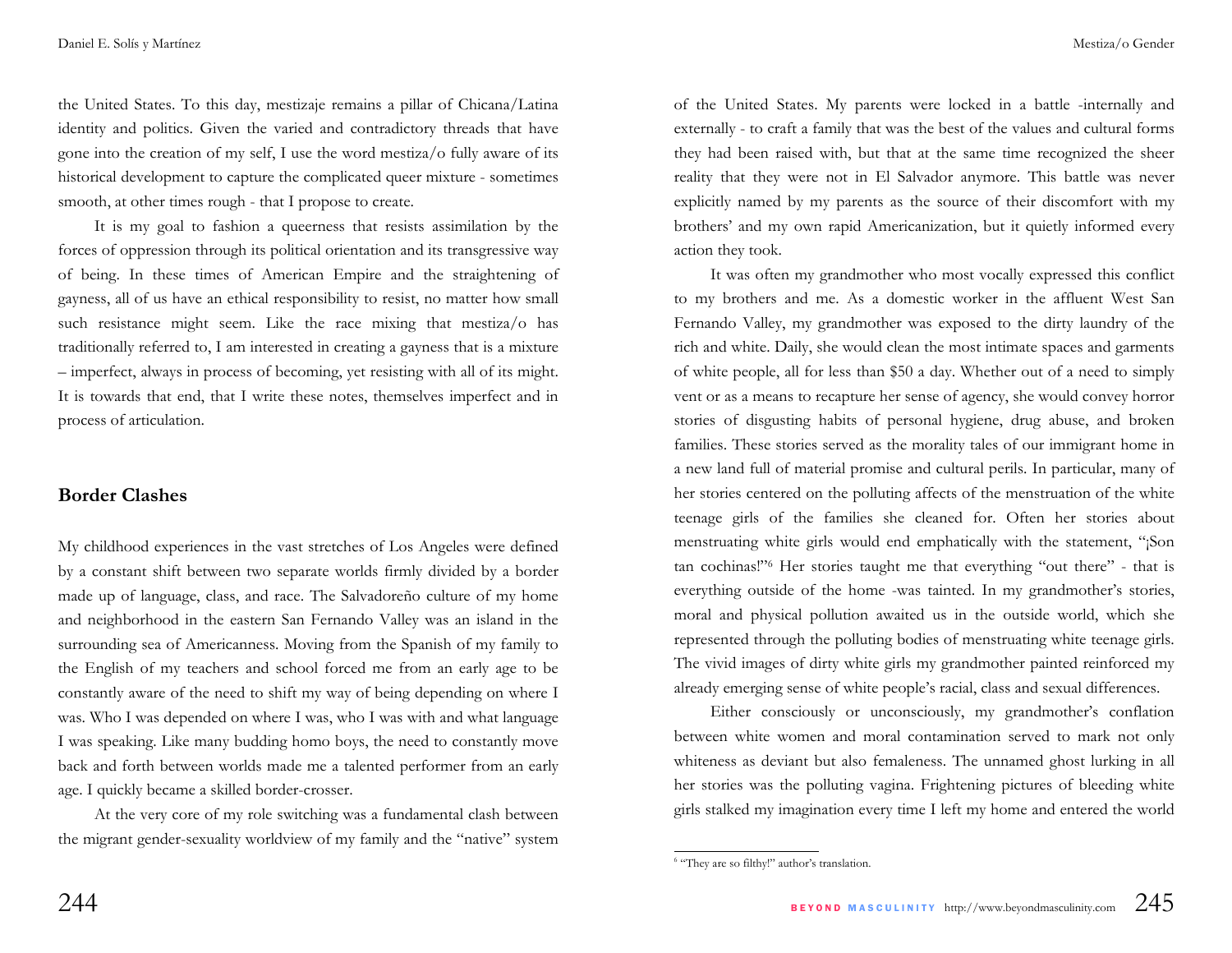the United States. To this day, mestizaje remains a pillar of Chicana/Latina identity and politics. Given the varied and contradictory threads that have gone into the creation of my self, I use the word mestiza/o fully aware of its historical development to capture the complicated queer mixture - sometimes smooth, at other times rough - that I propose to create.

It is my goal to fashion a queerness that resists assimilation by the forces of oppression through its political orientation and its transgressive way of being. In these times of American Empire and the straightening of gayness, all of us have an ethical responsibility to resist, no matter how small such resistance might seem. Like the race mixing that mestiza/o has traditionally referred to, I am interested in creating a gayness that is a mixture – imperfect, always in process of becoming, yet resisting with all of its might. It is towards that end, that I write these notes, themselves imperfect and in process of articulation.

### **Border Clashes**

My childhood experiences in the vast stretches of Los Angeles were defined by a constant shift between two separate worlds firmly divided by a border made up of language, class, and race. The Salvadoreño culture of my home and neighborhood in the eastern San Fernando Valley was an island in the surrounding sea of Americanness. Moving from the Spanish of my family to the English of my teachers and school forced me from an early age to be constantly aware of the need to shift my way of being depending on where I was. Who I was depended on where I was, who I was with and what language I was speaking. Like many budding homo boys, the need to constantly move back and forth between worlds made me a talented performer from an early age. I quickly became a skilled border-crosser.

 At the very core of my role switching was a fundamental clash between the migrant gender-sexuality worldview of my family and the "native" system

of the United States. My parents were locked in a battle -internally and externally - to craft a family that was the best of the values and cultural forms they had been raised with, but that at the same time recognized the sheer reality that they were not in El Salvador anymore. This battle was never explicitly named by my parents as the source of their discomfort with my brothers' and my own rapid Americanization, but it quietly informed every action they took.

It was often my grandmother who most vocally expressed this conflict to my brothers and me. As a domestic worker in the affluent West San Fernando Valley, my grandmother was exposed to the dirty laundry of the rich and white. Daily, she would clean the most intimate spaces and garments of white people, all for less than \$50 a day. Whether out of a need to simply vent or as a means to recapture her sense of agency, she would convey horror stories of disgusting habits of personal hygiene, drug abuse, and broken families. These stories served as the morality tales of our immigrant home in a new land full of material promise and cultural perils. In particular, many of her stories centered on the polluting affects of the menstruation of the white teenage girls of the families she cleaned for. Often her stories about menstruating white girls would end emphatically with the statement, "¡Son tan cochinas!"6 Her stories taught me that everything "out there" - that is everything outside of the home -was tainted. In my grandmother's stories, moral and physical pollution awaited us in the outside world, which she represented through the polluting bodies of menstruating white teenage girls. The vivid images of dirty white girls my grandmother painted reinforced my already emerging sense of white people's racial, class and sexual differences.

Either consciously or unconsciously, my grandmother's conflation between white women and moral contamination served to mark not only whiteness as deviant but also femaleness. The unnamed ghost lurking in all her stories was the polluting vagina. Frightening pictures of bleeding white girls stalked my imagination every time I left my home and entered the world

<sup>6 &</sup>quot;They are so filthy!" author's translation.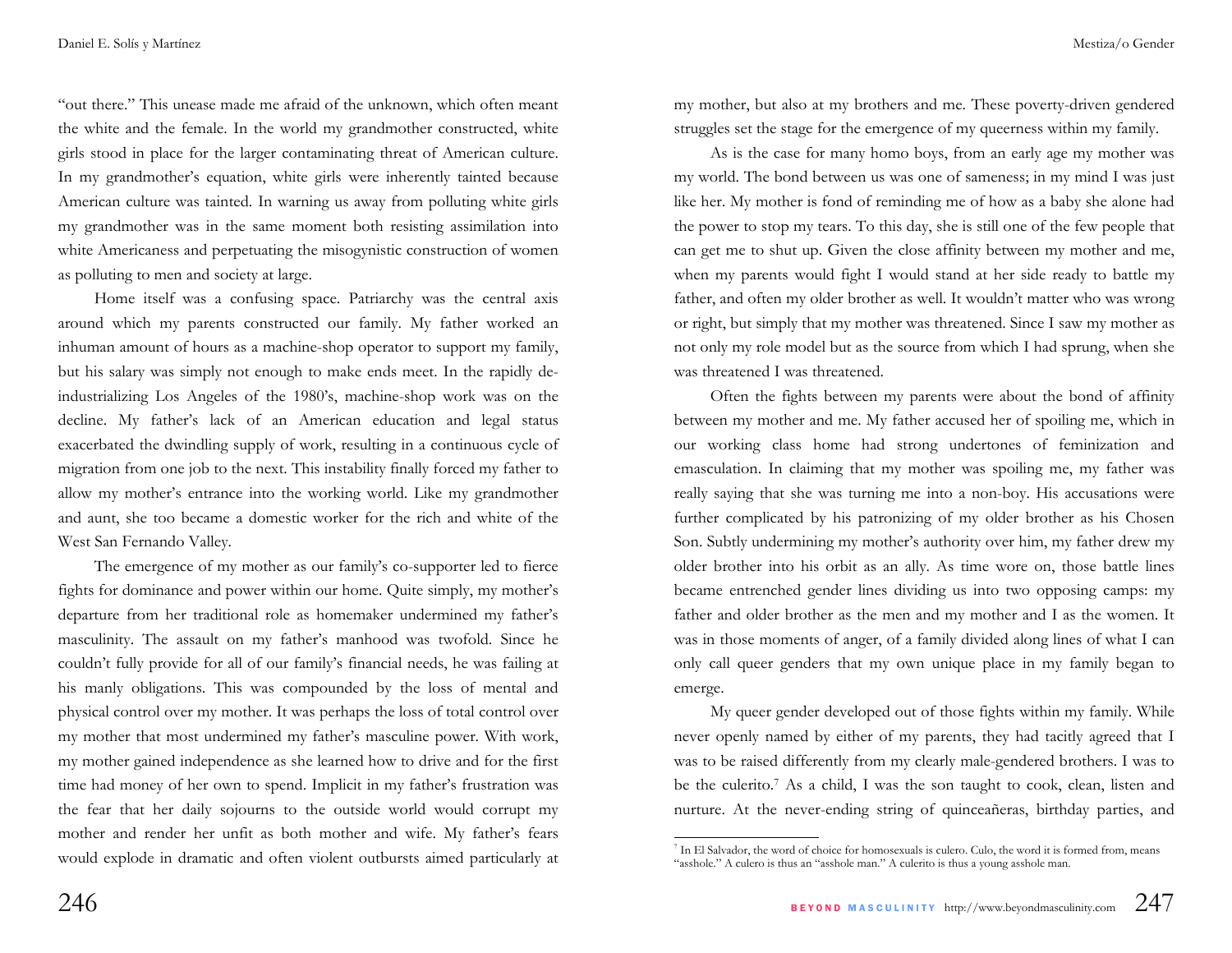"out there." This unease made me afraid of the unknown, which often meant the white and the female. In the world my grandmother constructed, white girls stood in place for the larger contaminating threat of American culture. In my grandmother's equation, white girls were inherently tainted because American culture was tainted. In warning us away from polluting white girls my grandmother was in the same moment both resisting assimilation into white Americaness and perpetuating the misogynistic construction of women as polluting to men and society at large.

 Home itself was a confusing space. Patriarchy was the central axis around which my parents constructed our family. My father worked an inhuman amount of hours as a machine-shop operator to support my family, but his salary was simply not enough to make ends meet. In the rapidly deindustrializing Los Angeles of the 1980's, machine-shop work was on the decline. My father's lack of an American education and legal status exacerbated the dwindling supply of work, resulting in a continuous cycle of migration from one job to the next. This instability finally forced my father to allow my mother's entrance into the working world. Like my grandmother and aunt, she too became a domestic worker for the rich and white of the West San Fernando Valley.

The emergence of my mother as our family's co-supporter led to fierce fights for dominance and power within our home. Quite simply, my mother's departure from her traditional role as homemaker undermined my father's masculinity. The assault on my father's manhood was twofold. Since he couldn't fully provide for all of our family's financial needs, he was failing at his manly obligations. This was compounded by the loss of mental and physical control over my mother. It was perhaps the loss of total control over my mother that most undermined my father's masculine power. With work, my mother gained independence as she learned how to drive and for the first time had money of her own to spend. Implicit in my father's frustration was the fear that her daily sojourns to the outside world would corrupt my mother and render her unfit as both mother and wife. My father's fears would explode in dramatic and often violent outbursts aimed particularly at

my mother, but also at my brothers and me. These poverty-driven gendered struggles set the stage for the emergence of my queerness within my family.

 As is the case for many homo boys, from an early age my mother was my world. The bond between us was one of sameness; in my mind I was just like her. My mother is fond of reminding me of how as a baby she alone had the power to stop my tears. To this day, she is still one of the few people that can get me to shut up. Given the close affinity between my mother and me, when my parents would fight I would stand at her side ready to battle my father, and often my older brother as well. It wouldn't matter who was wrong or right, but simply that my mother was threatened. Since I saw my mother as not only my role model but as the source from which I had sprung, when she was threatened I was threatened.

Often the fights between my parents were about the bond of affinity between my mother and me. My father accused her of spoiling me, which in our working class home had strong undertones of feminization and emasculation. In claiming that my mother was spoiling me, my father was really saying that she was turning me into a non-boy. His accusations were further complicated by his patronizing of my older brother as his Chosen Son. Subtly undermining my mother's authority over him, my father drew my older brother into his orbit as an ally. As time wore on, those battle lines became entrenched gender lines dividing us into two opposing camps: my father and older brother as the men and my mother and I as the women. It was in those moments of anger, of a family divided along lines of what I can only call queer genders that my own unique place in my family began to emerge.

 My queer gender developed out of those fights within my family. While never openly named by either of my parents, they had tacitly agreed that I was to be raised differently from my clearly male-gendered brothers. I was to be the culerito.<sup>7</sup> As a child, I was the son taught to cook, clean, listen and nurture. At the never-ending string of quinceañeras, birthday parties, and

<sup>7</sup> In El Salvador, the word of choice for homosexuals is culero. Culo, the word it is formed from, means "asshole." A culero is thus an "asshole man." A culerito is thus a young asshole man.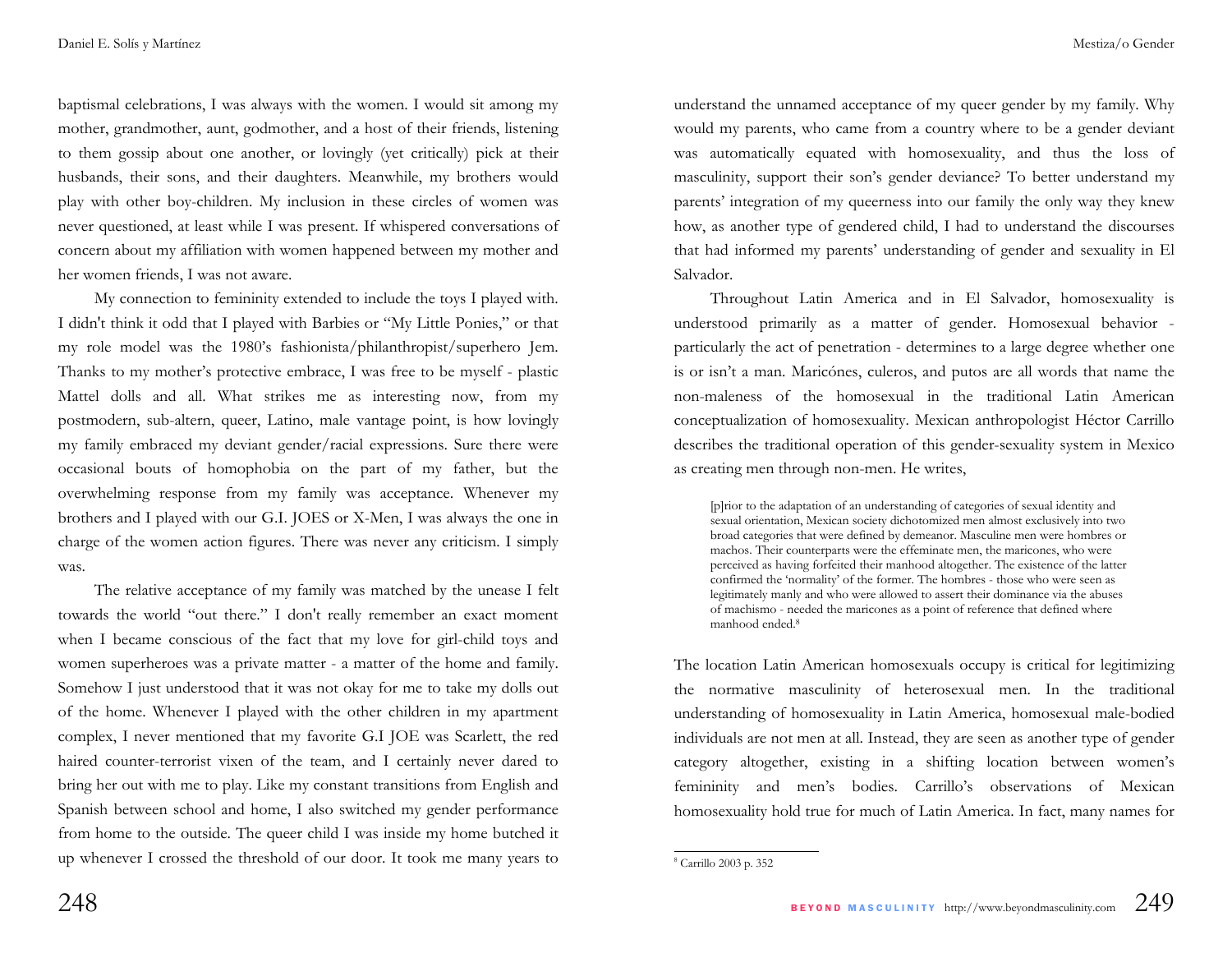baptismal celebrations, I was always with the women. I would sit among my mother, grandmother, aunt, godmother, and a host of their friends, listening to them gossip about one another, or lovingly (yet critically) pick at their husbands, their sons, and their daughters. Meanwhile, my brothers would play with other boy-children. My inclusion in these circles of women was never questioned, at least while I was present. If whispered conversations of concern about my affiliation with women happened between my mother and her women friends, I was not aware.

 My connection to femininity extended to include the toys I played with. I didn't think it odd that I played with Barbies or "My Little Ponies," or that my role model was the 1980's fashionista/philanthropist/superhero Jem. Thanks to my mother's protective embrace, I was free to be myself - plastic Mattel dolls and all. What strikes me as interesting now, from my postmodern, sub-altern, queer, Latino, male vantage point, is how lovingly my family embraced my deviant gender/racial expressions. Sure there were occasional bouts of homophobia on the part of my father, but the overwhelming response from my family was acceptance. Whenever my brothers and I played with our G.I. JOES or X-Men, I was always the one in charge of the women action figures. There was never any criticism. I simply was.

The relative acceptance of my family was matched by the unease I felt towards the world "out there." I don't really remember an exact moment when I became conscious of the fact that my love for girl-child toys and women superheroes was a private matter - a matter of the home and family. Somehow I just understood that it was not okay for me to take my dolls out of the home. Whenever I played with the other children in my apartment complex, I never mentioned that my favorite G.I JOE was Scarlett, the red haired counter-terrorist vixen of the team, and I certainly never dared to bring her out with me to play. Like my constant transitions from English and Spanish between school and home, I also switched my gender performance from home to the outside. The queer child I was inside my home butched it up whenever I crossed the threshold of our door. It took me many years to

understand the unnamed acceptance of my queer gender by my family. Why would my parents, who came from a country where to be a gender deviant was automatically equated with homosexuality, and thus the loss of masculinity, support their son's gender deviance? To better understand my parents' integration of my queerness into our family the only way they knew how, as another type of gendered child, I had to understand the discourses that had informed my parents' understanding of gender and sexuality in El Salvador.

Throughout Latin America and in El Salvador, homosexuality is understood primarily as a matter of gender. Homosexual behavior particularly the act of penetration - determines to a large degree whether one is or isn't a man. Maricónes, culeros, and putos are all words that name the non-maleness of the homosexual in the traditional Latin American conceptualization of homosexuality. Mexican anthropologist Héctor Carrillo describes the traditional operation of this gender-sexuality system in Mexico as creating men through non-men. He writes,

[p]rior to the adaptation of an understanding of categories of sexual identity and sexual orientation, Mexican society dichotomized men almost exclusively into two broad categories that were defined by demeanor. Masculine men were hombres or machos. Their counterparts were the effeminate men, the maricones, who were perceived as having forfeited their manhood altogether. The existence of the latter confirmed the 'normality' of the former. The hombres - those who were seen as legitimately manly and who were allowed to assert their dominance via the abuses of machismo - needed the maricones as a point of reference that defined where manhood ended.8

The location Latin American homosexuals occupy is critical for legitimizing the normative masculinity of heterosexual men. In the traditional understanding of homosexuality in Latin America, homosexual male-bodied individuals are not men at all. Instead, they are seen as another type of gender category altogether, existing in a shifting location between women's femininity and men's bodies. Carrillo's observations of Mexican homosexuality hold true for much of Latin America. In fact, many names for

<sup>8</sup> Carrillo 2003 p. 352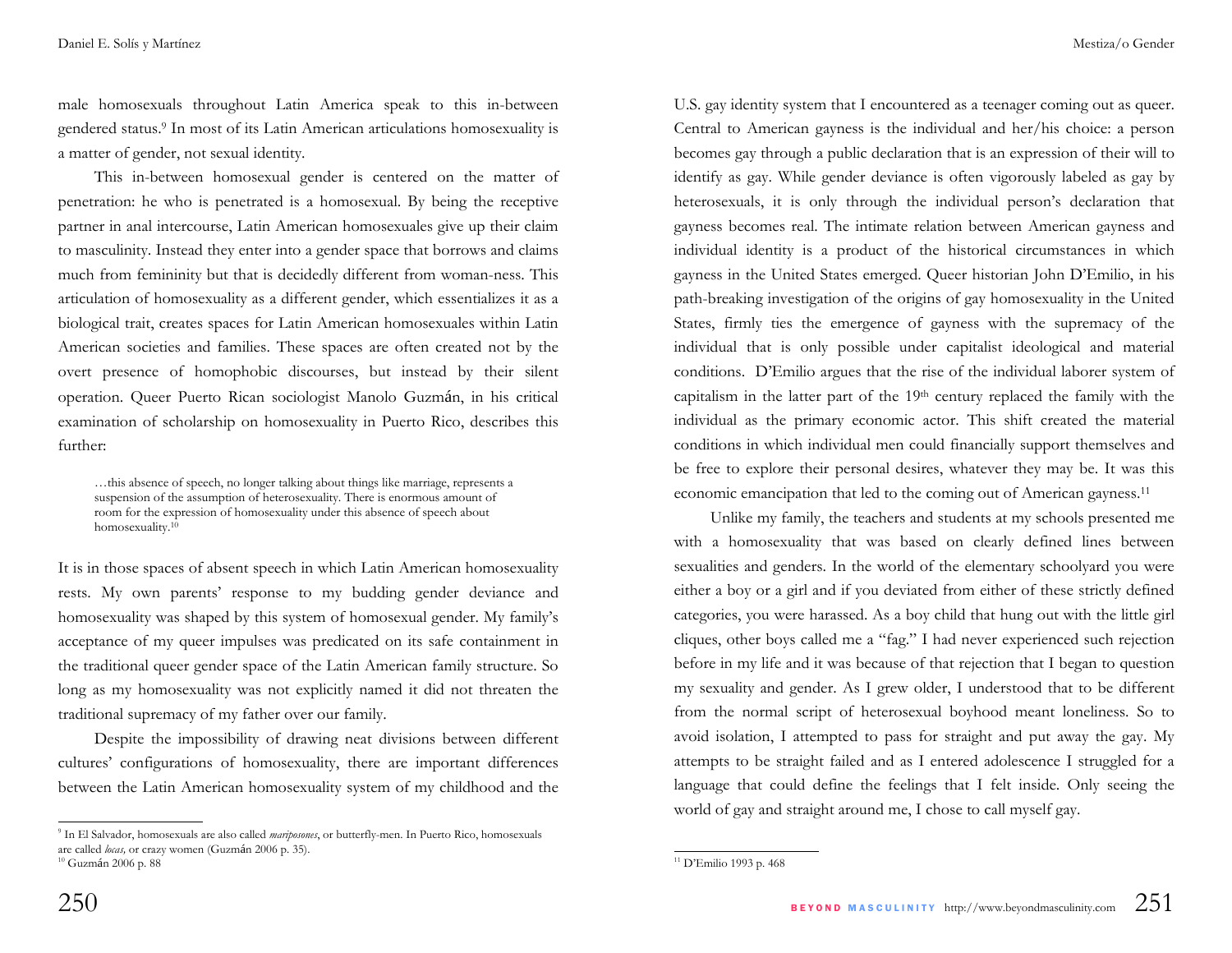male homosexuals throughout Latin America speak to this in-between gendered status.9 In most of its Latin American articulations homosexuality is a matter of gender, not sexual identity.

This in-between homosexual gender is centered on the matter of penetration: he who is penetrated is a homosexual. By being the receptive partner in anal intercourse, Latin American homosexuales give up their claim to masculinity. Instead they enter into a gender space that borrows and claims much from femininity but that is decidedly different from woman-ness. This articulation of homosexuality as a different gender, which essentializes it as a biological trait, creates spaces for Latin American homosexuales within Latin American societies and families. These spaces are often created not by the overt presence of homophobic discourses, but instead by their silent operation. Queer Puerto Rican sociologist Manolo Guzmán, in his critical examination of scholarship on homosexuality in Puerto Rico, describes this further:

…this absence of speech, no longer talking about things like marriage, represents a suspension of the assumption of heterosexuality. There is enormous amount of room for the expression of homosexuality under this absence of speech about homosexuality.10

It is in those spaces of absent speech in which Latin American homosexuality rests. My own parents' response to my budding gender deviance and homosexuality was shaped by this system of homosexual gender. My family's acceptance of my queer impulses was predicated on its safe containment in the traditional queer gender space of the Latin American family structure. So long as my homosexuality was not explicitly named it did not threaten the traditional supremacy of my father over our family.

 Despite the impossibility of drawing neat divisions between different cultures' configurations of homosexuality, there are important differences between the Latin American homosexuality system of my childhood and the U.S. gay identity system that I encountered as a teenager coming out as queer. Central to American gayness is the individual and her/his choice: a person becomes gay through a public declaration that is an expression of their will to identify as gay. While gender deviance is often vigorously labeled as gay by heterosexuals, it is only through the individual person's declaration that gayness becomes real. The intimate relation between American gayness and individual identity is a product of the historical circumstances in which gayness in the United States emerged. Queer historian John D'Emilio, in his path-breaking investigation of the origins of gay homosexuality in the United States, firmly ties the emergence of gayness with the supremacy of the individual that is only possible under capitalist ideological and material conditions. D'Emilio argues that the rise of the individual laborer system of capitalism in the latter part of the 19<sup>th</sup> century replaced the family with the individual as the primary economic actor. This shift created the material conditions in which individual men could financially support themselves and be free to explore their personal desires, whatever they may be. It was this economic emancipation that led to the coming out of American gayness.<sup>11</sup>

Unlike my family, the teachers and students at my schools presented me with a homosexuality that was based on clearly defined lines between sexualities and genders. In the world of the elementary schoolyard you were either a boy or a girl and if you deviated from either of these strictly defined categories, you were harassed. As a boy child that hung out with the little girl cliques, other boys called me a "fag." I had never experienced such rejection before in my life and it was because of that rejection that I began to question my sexuality and gender. As I grew older, I understood that to be different from the normal script of heterosexual boyhood meant loneliness. So to avoid isolation, I attempted to pass for straight and put away the gay. My attempts to be straight failed and as I entered adolescence I struggled for a language that could define the feelings that I felt inside. Only seeing the world of gay and straight around me, I chose to call myself gay.

<sup>9</sup> In El Salvador, homosexuals are also called *mariposones*, or butterfly-men. In Puerto Rico, homosexuals are called *locas,* or crazy women (Guzmán 2006 p. 35).

<sup>10</sup> Guzmán 2006 p. 88

<sup>11</sup> D'Emilio 1993 p. 468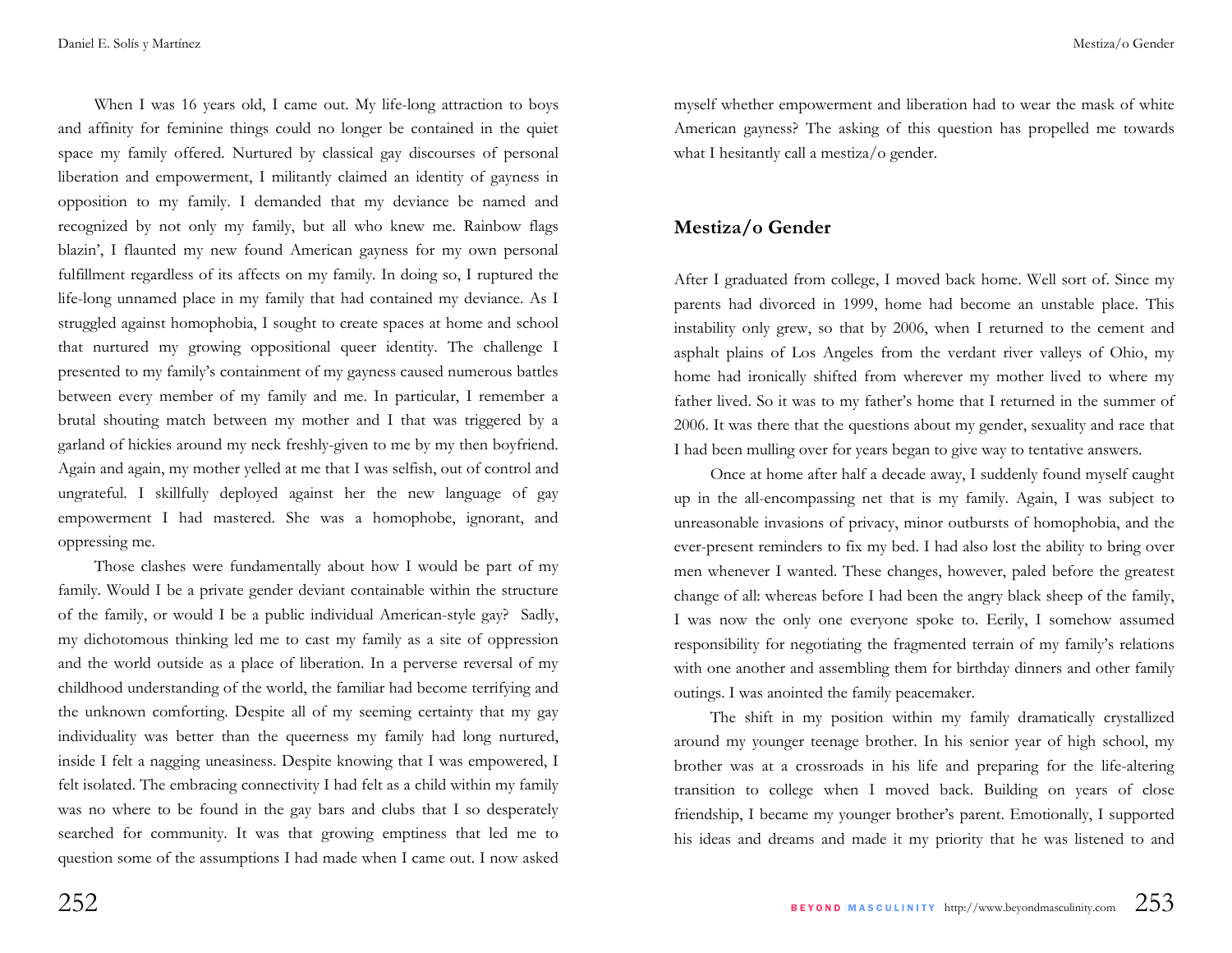When I was 16 years old, I came out. My life-long attraction to boys and affinity for feminine things could no longer be contained in the quiet space my family offered. Nurtured by classical gay discourses of personal liberation and empowerment, I militantly claimed an identity of gayness in opposition to my family. I demanded that my deviance be named and recognized by not only my family, but all who knew me. Rainbow flags blazin', I flaunted my new found American gayness for my own personal fulfillment regardless of its affects on my family. In doing so, I ruptured the life-long unnamed place in my family that had contained my deviance. As I struggled against homophobia, I sought to create spaces at home and school that nurtured my growing oppositional queer identity. The challenge I presented to my family's containment of my gayness caused numerous battles between every member of my family and me. In particular, I remember a brutal shouting match between my mother and I that was triggered by a garland of hickies around my neck freshly-given to me by my then boyfriend. Again and again, my mother yelled at me that I was selfish, out of control and ungrateful. I skillfully deployed against her the new language of gay empowerment I had mastered. She was a homophobe, ignorant, and oppressing me.

Those clashes were fundamentally about how I would be part of my family. Would I be a private gender deviant containable within the structure of the family, or would I be a public individual American-style gay? Sadly, my dichotomous thinking led me to cast my family as a site of oppression and the world outside as a place of liberation. In a perverse reversal of my childhood understanding of the world, the familiar had become terrifying and the unknown comforting. Despite all of my seeming certainty that my gay individuality was better than the queerness my family had long nurtured, inside I felt a nagging uneasiness. Despite knowing that I was empowered, I felt isolated. The embracing connectivity I had felt as a child within my family was no where to be found in the gay bars and clubs that I so desperately searched for community. It was that growing emptiness that led me to question some of the assumptions I had made when I came out. I now asked

myself whether empowerment and liberation had to wear the mask of white American gayness? The asking of this question has propelled me towards what I hesitantly call a mestiza/o gender.

### **Mestiza/o Gender**

After I graduated from college, I moved back home. Well sort of. Since my parents had divorced in 1999, home had become an unstable place. This instability only grew, so that by 2006, when I returned to the cement and asphalt plains of Los Angeles from the verdant river valleys of Ohio, my home had ironically shifted from wherever my mother lived to where my father lived. So it was to my father's home that I returned in the summer of 2006. It was there that the questions about my gender, sexuality and race that I had been mulling over for years began to give way to tentative answers.

Once at home after half a decade away, I suddenly found myself caught up in the all-encompassing net that is my family. Again, I was subject to unreasonable invasions of privacy, minor outbursts of homophobia, and the ever-present reminders to fix my bed. I had also lost the ability to bring over men whenever I wanted. These changes, however, paled before the greatest change of all: whereas before I had been the angry black sheep of the family, I was now the only one everyone spoke to. Eerily, I somehow assumed responsibility for negotiating the fragmented terrain of my family's relations with one another and assembling them for birthday dinners and other family outings. I was anointed the family peacemaker.

The shift in my position within my family dramatically crystallized around my younger teenage brother. In his senior year of high school, my brother was at a crossroads in his life and preparing for the life-altering transition to college when I moved back. Building on years of close friendship, I became my younger brother's parent. Emotionally, I supported his ideas and dreams and made it my priority that he was listened to and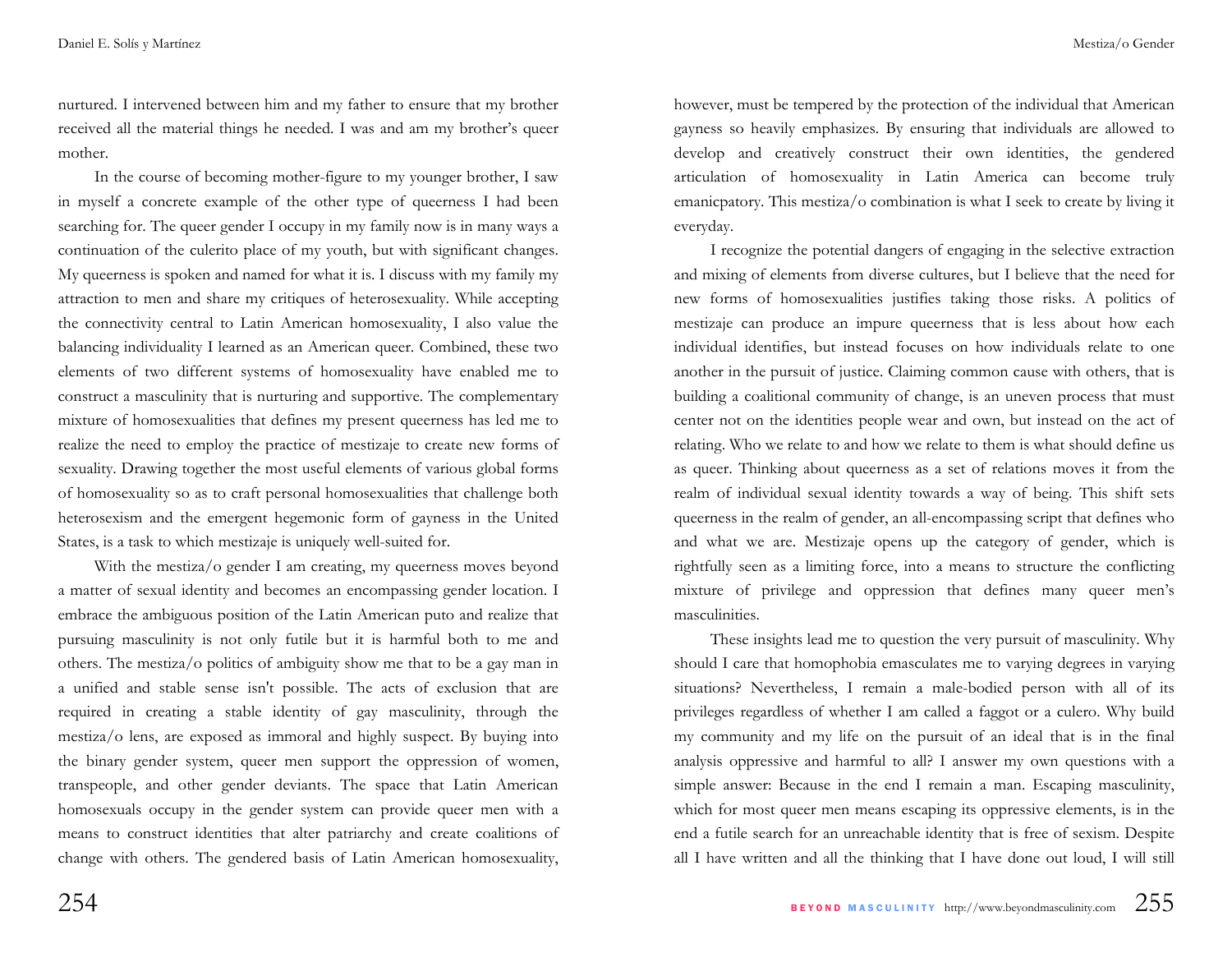nurtured. I intervened between him and my father to ensure that my brother received all the material things he needed. I was and am my brother's queer mother.

In the course of becoming mother-figure to my younger brother, I saw in myself a concrete example of the other type of queerness I had been searching for. The queer gender I occupy in my family now is in many ways a continuation of the culerito place of my youth, but with significant changes. My queerness is spoken and named for what it is. I discuss with my family my attraction to men and share my critiques of heterosexuality. While accepting the connectivity central to Latin American homosexuality, I also value the balancing individuality I learned as an American queer. Combined, these two elements of two different systems of homosexuality have enabled me to construct a masculinity that is nurturing and supportive. The complementary mixture of homosexualities that defines my present queerness has led me to realize the need to employ the practice of mestizaje to create new forms of sexuality. Drawing together the most useful elements of various global forms of homosexuality so as to craft personal homosexualities that challenge both heterosexism and the emergent hegemonic form of gayness in the United States, is a task to which mestizaje is uniquely well-suited for.

With the mestiza/o gender I am creating, my queerness moves beyond a matter of sexual identity and becomes an encompassing gender location. I embrace the ambiguous position of the Latin American puto and realize that pursuing masculinity is not only futile but it is harmful both to me and others. The mestiza/o politics of ambiguity show me that to be a gay man in a unified and stable sense isn't possible. The acts of exclusion that are required in creating a stable identity of gay masculinity, through the mestiza/o lens, are exposed as immoral and highly suspect. By buying into the binary gender system, queer men support the oppression of women, transpeople, and other gender deviants. The space that Latin American homosexuals occupy in the gender system can provide queer men with a means to construct identities that alter patriarchy and create coalitions of change with others. The gendered basis of Latin American homosexuality,

however, must be tempered by the protection of the individual that American gayness so heavily emphasizes. By ensuring that individuals are allowed to develop and creatively construct their own identities, the gendered articulation of homosexuality in Latin America can become truly emanicpatory. This mestiza/o combination is what I seek to create by living it everyday.

I recognize the potential dangers of engaging in the selective extraction and mixing of elements from diverse cultures, but I believe that the need for new forms of homosexualities justifies taking those risks. A politics of mestizaje can produce an impure queerness that is less about how each individual identifies, but instead focuses on how individuals relate to one another in the pursuit of justice. Claiming common cause with others, that is building a coalitional community of change, is an uneven process that must center not on the identities people wear and own, but instead on the act of relating. Who we relate to and how we relate to them is what should define us as queer. Thinking about queerness as a set of relations moves it from the realm of individual sexual identity towards a way of being. This shift sets queerness in the realm of gender, an all-encompassing script that defines who and what we are. Mestizaje opens up the category of gender, which is rightfully seen as a limiting force, into a means to structure the conflicting mixture of privilege and oppression that defines many queer men's masculinities.

These insights lead me to question the very pursuit of masculinity. Why should I care that homophobia emasculates me to varying degrees in varying situations? Nevertheless, I remain a male-bodied person with all of its privileges regardless of whether I am called a faggot or a culero. Why build my community and my life on the pursuit of an ideal that is in the final analysis oppressive and harmful to all? I answer my own questions with a simple answer: Because in the end I remain a man. Escaping masculinity, which for most queer men means escaping its oppressive elements, is in the end a futile search for an unreachable identity that is free of sexism. Despite all I have written and all the thinking that I have done out loud, I will still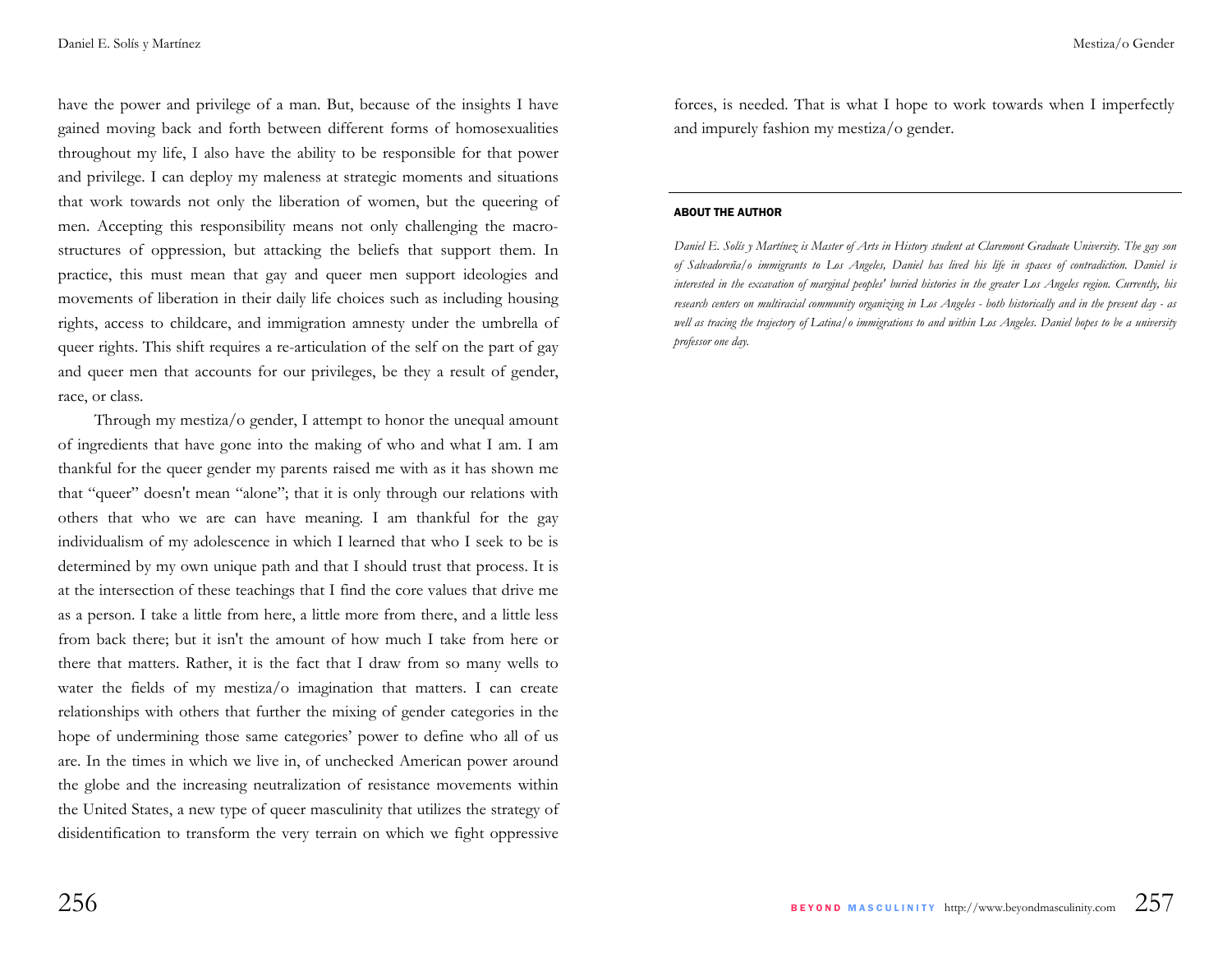have the power and privilege of a man. But, because of the insights I have gained moving back and forth between different forms of homosexualities throughout my life, I also have the ability to be responsible for that power and privilege. I can deploy my maleness at strategic moments and situations that work towards not only the liberation of women, but the queering of men. Accepting this responsibility means not only challenging the macrostructures of oppression, but attacking the beliefs that support them. In practice, this must mean that gay and queer men support ideologies and movements of liberation in their daily life choices such as including housing rights, access to childcare, and immigration amnesty under the umbrella of queer rights. This shift requires a re-articulation of the self on the part of gay and queer men that accounts for our privileges, be they a result of gender, race, or class.

Through my mestiza/o gender, I attempt to honor the unequal amount of ingredients that have gone into the making of who and what I am. I am thankful for the queer gender my parents raised me with as it has shown me that "queer" doesn't mean "alone"; that it is only through our relations with others that who we are can have meaning. I am thankful for the gay individualism of my adolescence in which I learned that who I seek to be is determined by my own unique path and that I should trust that process. It is at the intersection of these teachings that I find the core values that drive me as a person. I take a little from here, a little more from there, and a little less from back there; but it isn't the amount of how much I take from here or there that matters. Rather, it is the fact that I draw from so many wells to water the fields of my mestiza/o imagination that matters. I can create relationships with others that further the mixing of gender categories in the hope of undermining those same categories' power to define who all of us are. In the times in which we live in, of unchecked American power around the globe and the increasing neutralization of resistance movements within the United States, a new type of queer masculinity that utilizes the strategy of disidentification to transform the very terrain on which we fight oppressive

forces, is needed. That is what I hope to work towards when I imperfectly and impurely fashion my mestiza/o gender.

#### ABOUT THE AUTHOR

*Daniel E. Solís y Martínez is Master of Arts in History student at Claremont Graduate University. The gay son of Salvadoreña/o immigrants to Los Angeles, Daniel has lived his life in spaces of contradiction. Daniel is interested in the excavation of marginal peoples' buried histories in the greater Los Angeles region. Currently, his research centers on multiracial community organizing in Los Angeles - both historically and in the present day - as well as tracing the trajectory of Latina/o immigrations to and within Los Angeles. Daniel hopes to be a university professor one day.*